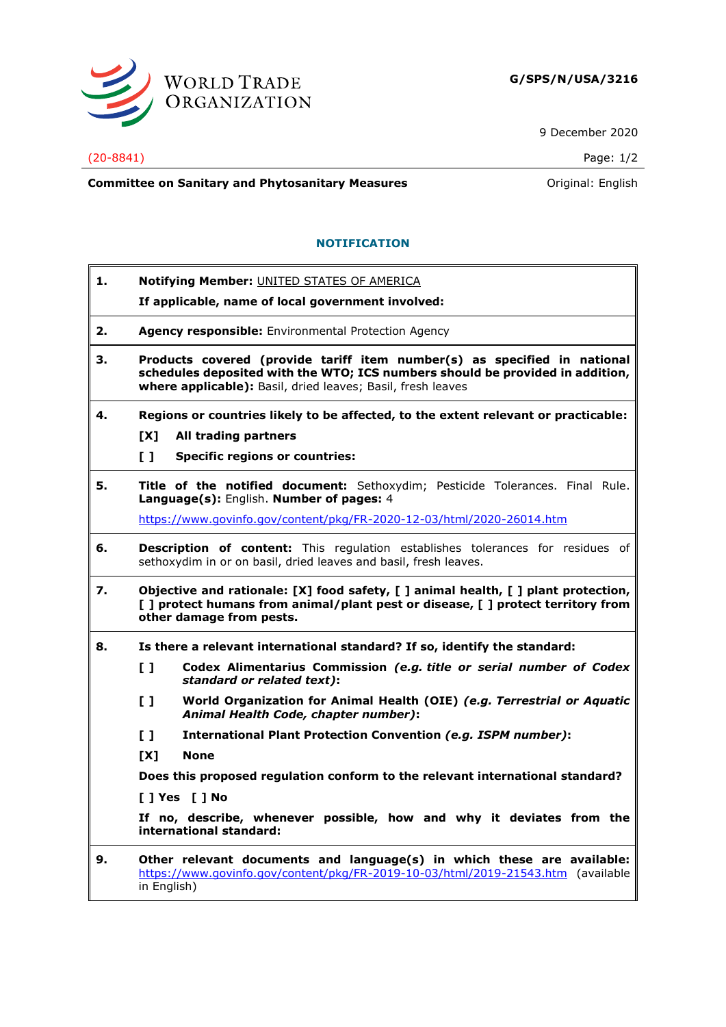

9 December 2020

## (20-8841) Page: 1/2

**Committee on Sanitary and Phytosanitary Measures Committee on Sanitary and Phytosanitary Measures Committee on Sanitary and Phytosanitary Measures** 

## **NOTIFICATION**

| 1. | Notifying Member: UNITED STATES OF AMERICA                                                                                                                                                                               |
|----|--------------------------------------------------------------------------------------------------------------------------------------------------------------------------------------------------------------------------|
|    | If applicable, name of local government involved:                                                                                                                                                                        |
| 2. | <b>Agency responsible:</b> Environmental Protection Agency                                                                                                                                                               |
| з. | Products covered (provide tariff item number(s) as specified in national<br>schedules deposited with the WTO; ICS numbers should be provided in addition,<br>where applicable): Basil, dried leaves; Basil, fresh leaves |
| 4. | Regions or countries likely to be affected, to the extent relevant or practicable:                                                                                                                                       |
|    | All trading partners<br>TX1                                                                                                                                                                                              |
|    | $\mathbf{L}$<br><b>Specific regions or countries:</b>                                                                                                                                                                    |
| 5. | Title of the notified document: Sethoxydim; Pesticide Tolerances. Final Rule.<br>Language(s): English. Number of pages: 4                                                                                                |
|    | https://www.govinfo.gov/content/pkg/FR-2020-12-03/html/2020-26014.htm                                                                                                                                                    |
| 6. | Description of content: This regulation establishes tolerances for residues of<br>sethoxydim in or on basil, dried leaves and basil, fresh leaves.                                                                       |
| 7. | Objective and rationale: [X] food safety, [ ] animal health, [ ] plant protection,<br>[ ] protect humans from animal/plant pest or disease, [ ] protect territory from<br>other damage from pests.                       |
| 8. | Is there a relevant international standard? If so, identify the standard:                                                                                                                                                |
|    | Codex Alimentarius Commission (e.g. title or serial number of Codex<br>$\begin{smallmatrix}1\end{smallmatrix}$<br>standard or related text):                                                                             |
|    | World Organization for Animal Health (OIE) (e.g. Terrestrial or Aquatic<br>$\mathbf{L}$<br>Animal Health Code, chapter number):                                                                                          |
|    | $\mathbf{L}$<br>International Plant Protection Convention (e.g. ISPM number):                                                                                                                                            |
|    | [X]<br><b>None</b>                                                                                                                                                                                                       |
|    | Does this proposed regulation conform to the relevant international standard?                                                                                                                                            |
|    | $[$ ] Yes $[$ ] No                                                                                                                                                                                                       |
|    | If no, describe, whenever possible, how and why it deviates from the<br>international standard:                                                                                                                          |
| 9. | Other relevant documents and language(s) in which these are available:<br>https://www.govinfo.gov/content/pkg/FR-2019-10-03/html/2019-21543.htm (available                                                               |